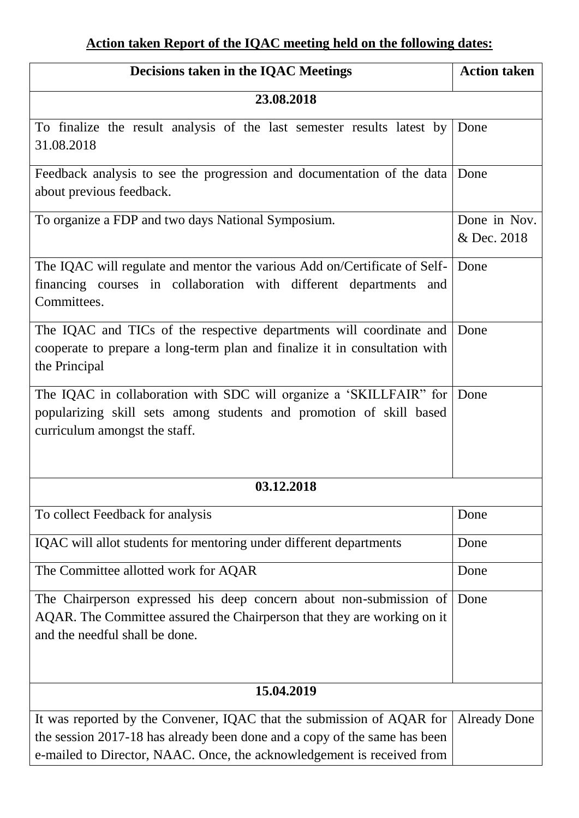## **Action taken Report of the IQAC meeting held on the following dates:**

| Decisions taken in the IQAC Meetings                                                                                                                                                                                         | <b>Action taken</b>         |  |
|------------------------------------------------------------------------------------------------------------------------------------------------------------------------------------------------------------------------------|-----------------------------|--|
| 23.08.2018                                                                                                                                                                                                                   |                             |  |
| To finalize the result analysis of the last semester results latest by<br>31.08.2018                                                                                                                                         | Done                        |  |
| Feedback analysis to see the progression and documentation of the data<br>about previous feedback.                                                                                                                           | Done                        |  |
| To organize a FDP and two days National Symposium.                                                                                                                                                                           | Done in Nov.<br>& Dec. 2018 |  |
| The IQAC will regulate and mentor the various Add on/Certificate of Self-<br>financing courses in collaboration with different departments and<br>Committees.                                                                | Done                        |  |
| The IQAC and TICs of the respective departments will coordinate and<br>cooperate to prepare a long-term plan and finalize it in consultation with<br>the Principal                                                           | Done                        |  |
| The IQAC in collaboration with SDC will organize a 'SKILLFAIR' for Done<br>popularizing skill sets among students and promotion of skill based<br>curriculum amongst the staff.                                              |                             |  |
| 03.12.2018                                                                                                                                                                                                                   |                             |  |
| To collect Feedback for analysis                                                                                                                                                                                             | Done                        |  |
| IQAC will allot students for mentoring under different departments                                                                                                                                                           | Done                        |  |
| The Committee allotted work for AQAR                                                                                                                                                                                         | Done                        |  |
| The Chairperson expressed his deep concern about non-submission of<br>AQAR. The Committee assured the Chairperson that they are working on it<br>and the needful shall be done.                                              | Done                        |  |
| 15.04.2019                                                                                                                                                                                                                   |                             |  |
| It was reported by the Convener, IQAC that the submission of AQAR for<br>the session 2017-18 has already been done and a copy of the same has been<br>e-mailed to Director, NAAC. Once, the acknowledgement is received from | <b>Already Done</b>         |  |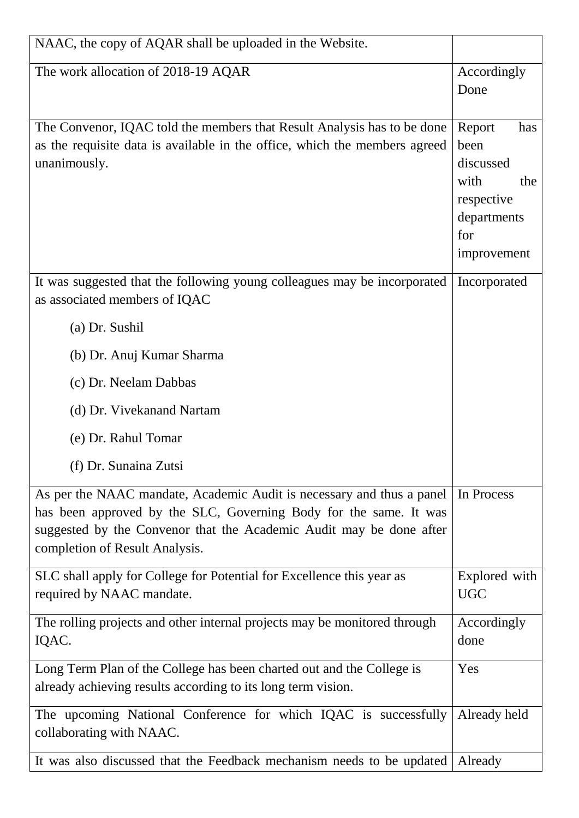| NAAC, the copy of AQAR shall be uploaded in the Website.                                                                                                                                                                                            |                                                                                                      |
|-----------------------------------------------------------------------------------------------------------------------------------------------------------------------------------------------------------------------------------------------------|------------------------------------------------------------------------------------------------------|
| The work allocation of 2018-19 AQAR                                                                                                                                                                                                                 | Accordingly<br>Done                                                                                  |
| The Convenor, IQAC told the members that Result Analysis has to be done<br>as the requisite data is available in the office, which the members agreed<br>unanimously.                                                                               | Report<br>has<br>been<br>discussed<br>with<br>the<br>respective<br>departments<br>for<br>improvement |
| It was suggested that the following young colleagues may be incorporated<br>as associated members of IQAC                                                                                                                                           | Incorporated                                                                                         |
| (a) Dr. Sushil                                                                                                                                                                                                                                      |                                                                                                      |
| (b) Dr. Anuj Kumar Sharma                                                                                                                                                                                                                           |                                                                                                      |
| (c) Dr. Neelam Dabbas                                                                                                                                                                                                                               |                                                                                                      |
| (d) Dr. Vivekanand Nartam                                                                                                                                                                                                                           |                                                                                                      |
| (e) Dr. Rahul Tomar                                                                                                                                                                                                                                 |                                                                                                      |
| (f) Dr. Sunaina Zutsi                                                                                                                                                                                                                               |                                                                                                      |
| As per the NAAC mandate, Academic Audit is necessary and thus a panel<br>has been approved by the SLC, Governing Body for the same. It was<br>suggested by the Convenor that the Academic Audit may be done after<br>completion of Result Analysis. | In Process                                                                                           |
| SLC shall apply for College for Potential for Excellence this year as<br>required by NAAC mandate.                                                                                                                                                  | Explored with<br><b>UGC</b>                                                                          |
| The rolling projects and other internal projects may be monitored through<br>IQAC.                                                                                                                                                                  | Accordingly<br>done                                                                                  |
| Long Term Plan of the College has been charted out and the College is<br>already achieving results according to its long term vision.                                                                                                               | Yes                                                                                                  |
| The upcoming National Conference for which IQAC is successfully<br>collaborating with NAAC.                                                                                                                                                         | Already held                                                                                         |
| It was also discussed that the Feedback mechanism needs to be updated                                                                                                                                                                               | Already                                                                                              |